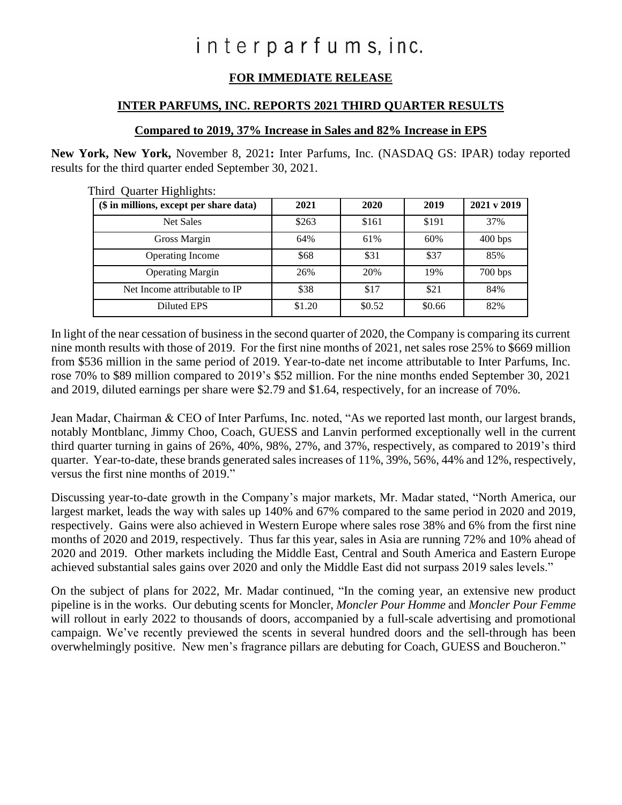# interparfums, inc.

# **FOR IMMEDIATE RELEASE**

### **INTER PARFUMS, INC. REPORTS 2021 THIRD QUARTER RESULTS**

### **Compared to 2019, 37% Increase in Sales and 82% Increase in EPS**

**New York, New York,** November 8, 2021**:** Inter Parfums, Inc. (NASDAQ GS: IPAR) today reported results for the third quarter ended September 30, 2021.

| (\$ in millions, except per share data) | 2021   | 2020   | 2019   | 2021 v 2019 |
|-----------------------------------------|--------|--------|--------|-------------|
| <b>Net Sales</b>                        | \$263  | \$161  | \$191  | 37%         |
| Gross Margin                            | 64%    | 61%    | 60%    | 400 bps     |
| <b>Operating Income</b>                 | \$68   | \$31   | \$37   | 85%         |
| <b>Operating Margin</b>                 | 26%    | 20%    | 19%    | 700 bps     |
| Net Income attributable to IP           | \$38   | \$17   | \$21   | 84%         |
| Diluted EPS                             | \$1.20 | \$0.52 | \$0.66 | 82%         |

Third Quarter Highlights:

In light of the near cessation of business in the second quarter of 2020, the Company is comparing its current nine month results with those of 2019. For the first nine months of 2021, net sales rose 25% to \$669 million from \$536 million in the same period of 2019. Year-to-date net income attributable to Inter Parfums, Inc. rose 70% to \$89 million compared to 2019's \$52 million. For the nine months ended September 30, 2021 and 2019, diluted earnings per share were \$2.79 and \$1.64, respectively, for an increase of 70%.

Jean Madar, Chairman & CEO of Inter Parfums, Inc. noted, "As we reported last month, our largest brands, notably Montblanc, Jimmy Choo, Coach, GUESS and Lanvin performed exceptionally well in the current third quarter turning in gains of 26%, 40%, 98%, 27%, and 37%, respectively, as compared to 2019's third quarter. Year-to-date, these brands generated sales increases of 11%, 39%, 56%, 44% and 12%, respectively, versus the first nine months of 2019."

Discussing year-to-date growth in the Company's major markets, Mr. Madar stated, "North America, our largest market, leads the way with sales up 140% and 67% compared to the same period in 2020 and 2019, respectively. Gains were also achieved in Western Europe where sales rose 38% and 6% from the first nine months of 2020 and 2019, respectively. Thus far this year, sales in Asia are running 72% and 10% ahead of 2020 and 2019. Other markets including the Middle East, Central and South America and Eastern Europe achieved substantial sales gains over 2020 and only the Middle East did not surpass 2019 sales levels."

On the subject of plans for 2022, Mr. Madar continued, "In the coming year, an extensive new product pipeline is in the works. Our debuting scents for Moncler, *Moncler Pour Homme* and *Moncler Pour Femme* will rollout in early 2022 to thousands of doors, accompanied by a full-scale advertising and promotional campaign. We've recently previewed the scents in several hundred doors and the sell-through has been overwhelmingly positive. New men's fragrance pillars are debuting for Coach, GUESS and Boucheron."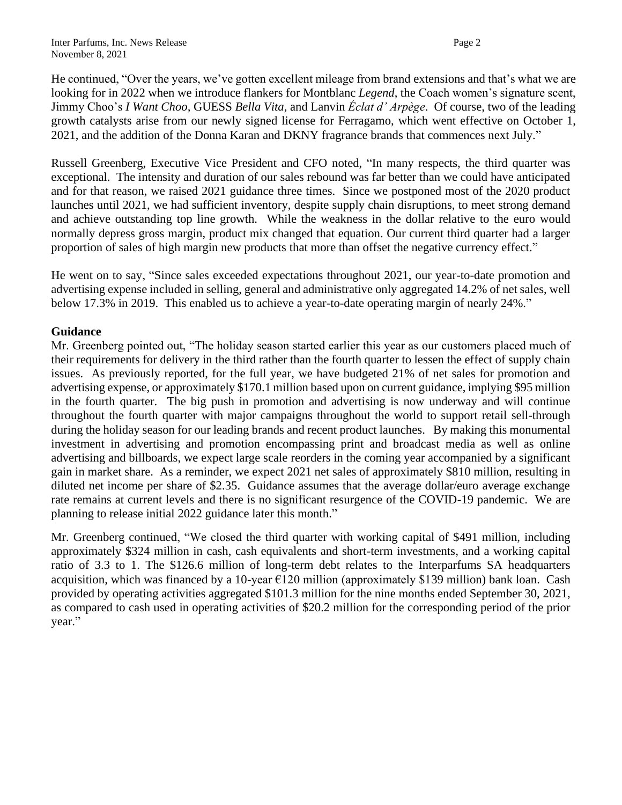He continued, "Over the years, we've gotten excellent mileage from brand extensions and that's what we are looking for in 2022 when we introduce flankers for Montblanc *Legend*, the Coach women's signature scent, Jimmy Choo's *I Want Choo,* GUESS *Bella Vita*, and Lanvin *Éclat d' Arpège*. Of course, two of the leading growth catalysts arise from our newly signed license for Ferragamo, which went effective on October 1, 2021, and the addition of the Donna Karan and DKNY fragrance brands that commences next July."

Russell Greenberg, Executive Vice President and CFO noted, "In many respects, the third quarter was exceptional. The intensity and duration of our sales rebound was far better than we could have anticipated and for that reason, we raised 2021 guidance three times. Since we postponed most of the 2020 product launches until 2021, we had sufficient inventory, despite supply chain disruptions, to meet strong demand and achieve outstanding top line growth. While the weakness in the dollar relative to the euro would normally depress gross margin, product mix changed that equation. Our current third quarter had a larger proportion of sales of high margin new products that more than offset the negative currency effect."

He went on to say, "Since sales exceeded expectations throughout 2021, our year-to-date promotion and advertising expense included in selling, general and administrative only aggregated 14.2% of net sales, well below 17.3% in 2019. This enabled us to achieve a year-to-date operating margin of nearly 24%."

#### **Guidance**

Mr. Greenberg pointed out, "The holiday season started earlier this year as our customers placed much of their requirements for delivery in the third rather than the fourth quarter to lessen the effect of supply chain issues. As previously reported, for the full year, we have budgeted 21% of net sales for promotion and advertising expense, or approximately \$170.1 million based upon on current guidance, implying \$95 million in the fourth quarter. The big push in promotion and advertising is now underway and will continue throughout the fourth quarter with major campaigns throughout the world to support retail sell-through during the holiday season for our leading brands and recent product launches. By making this monumental investment in advertising and promotion encompassing print and broadcast media as well as online advertising and billboards, we expect large scale reorders in the coming year accompanied by a significant gain in market share. As a reminder, we expect 2021 net sales of approximately \$810 million, resulting in diluted net income per share of \$2.35. Guidance assumes that the average dollar/euro average exchange rate remains at current levels and there is no significant resurgence of the COVID-19 pandemic. We are planning to release initial 2022 guidance later this month."

Mr. Greenberg continued, "We closed the third quarter with working capital of \$491 million, including approximately \$324 million in cash, cash equivalents and short-term investments, and a working capital ratio of 3.3 to 1. The \$126.6 million of long-term debt relates to the Interparfums SA headquarters acquisition, which was financed by a 10-year  $E120$  million (approximately \$139 million) bank loan. Cash provided by operating activities aggregated \$101.3 million for the nine months ended September 30, 2021, as compared to cash used in operating activities of \$20.2 million for the corresponding period of the prior year."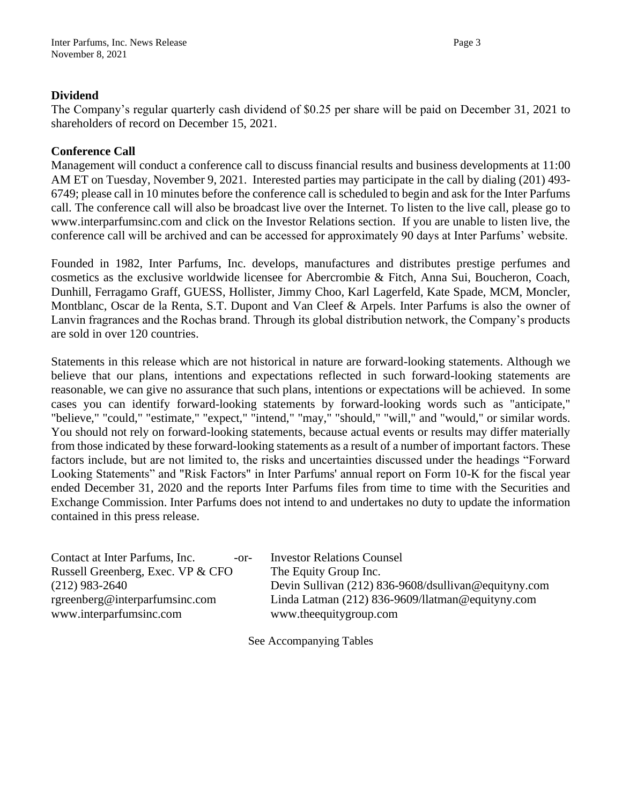## **Dividend**

The Company's regular quarterly cash dividend of \$0.25 per share will be paid on December 31, 2021 to shareholders of record on December 15, 2021.

# **Conference Call**

Management will conduct a conference call to discuss financial results and business developments at 11:00 AM ET on Tuesday, November 9, 2021. Interested parties may participate in the call by dialing (201) 493- 6749; please call in 10 minutes before the conference call is scheduled to begin and ask for the Inter Parfums call. The conference call will also be broadcast live over the Internet. To listen to the live call, please go to [www.interparfumsinc.com](http://www.interparfumsinc.com/) and click on the Investor Relations section. If you are unable to listen live, the conference call will be archived and can be accessed for approximately 90 days at Inter Parfums' website.

Founded in 1982, Inter Parfums, Inc. develops, manufactures and distributes prestige perfumes and cosmetics as the exclusive worldwide licensee for Abercrombie & Fitch, Anna Sui, Boucheron, Coach, Dunhill, Ferragamo Graff, GUESS, Hollister, Jimmy Choo, Karl Lagerfeld, Kate Spade, MCM, Moncler, Montblanc, Oscar de la Renta, S.T. Dupont and Van Cleef & Arpels. Inter Parfums is also the owner of Lanvin fragrances and the Rochas brand. Through its global distribution network, the Company's products are sold in over 120 countries.

Statements in this release which are not historical in nature are forward-looking statements. Although we believe that our plans, intentions and expectations reflected in such forward-looking statements are reasonable, we can give no assurance that such plans, intentions or expectations will be achieved. In some cases you can identify forward-looking statements by forward-looking words such as "anticipate," "believe," "could," "estimate," "expect," "intend," "may," "should," "will," and "would," or similar words. You should not rely on forward-looking statements, because actual events or results may differ materially from those indicated by these forward-looking statements as a result of a number of important factors. These factors include, but are not limited to, the risks and uncertainties discussed under the headings "Forward Looking Statements" and "Risk Factors" in Inter Parfums' annual report on Form 10-K for the fiscal year ended December 31, 2020 and the reports Inter Parfums files from time to time with the Securities and Exchange Commission. Inter Parfums does not intend to and undertakes no duty to update the information contained in this press release.

| Contact at Inter Parfums, Inc.<br>$-0r-$<br>Russell Greenberg, Exec. VP & CFO<br>$(212)$ 983-2640<br>rgreenberg@interparfumsinc.com<br>www.interparfumsinc.com | <b>Investor Relations Counsel</b><br>The Equity Group Inc.<br>Devin Sullivan (212) 836-9608/dsullivan@equityny.com<br>Linda Latman $(212)$ 836-9609/llatman@equityny.com<br>www.theequitygroup.com |
|----------------------------------------------------------------------------------------------------------------------------------------------------------------|----------------------------------------------------------------------------------------------------------------------------------------------------------------------------------------------------|
|----------------------------------------------------------------------------------------------------------------------------------------------------------------|----------------------------------------------------------------------------------------------------------------------------------------------------------------------------------------------------|

See Accompanying Tables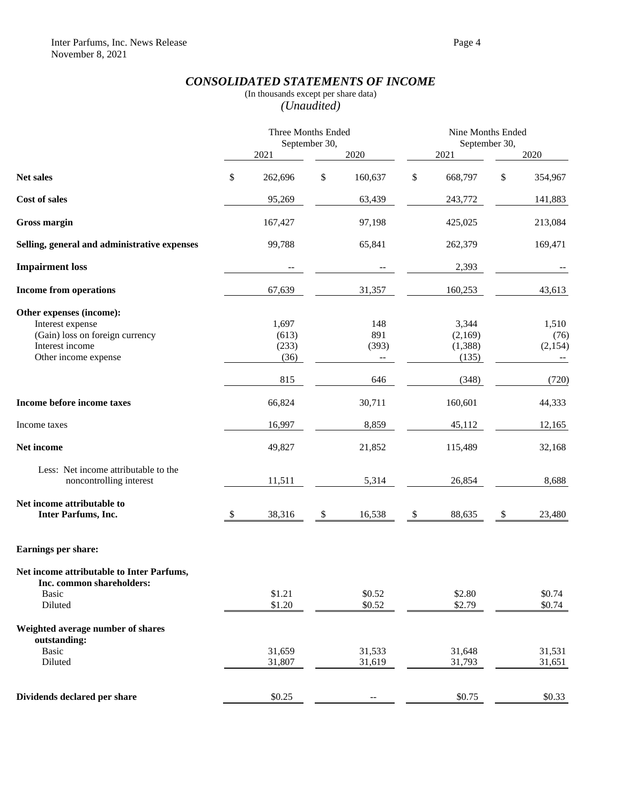# *CONSOLIDATED STATEMENTS OF INCOME*

#### (In thousands except per share data) *(Unaudited)*

|                                                                                                                            | Three Months Ended<br>September 30, |                                 |    | Nine Months Ended<br>September 30, |               |                                      |              |                          |
|----------------------------------------------------------------------------------------------------------------------------|-------------------------------------|---------------------------------|----|------------------------------------|---------------|--------------------------------------|--------------|--------------------------|
|                                                                                                                            |                                     | 2021                            |    | 2020                               |               | 2021                                 |              | 2020                     |
| Net sales                                                                                                                  | \$                                  | 262,696                         | \$ | 160,637                            | \$            | 668,797                              | \$           | 354,967                  |
| <b>Cost of sales</b>                                                                                                       |                                     | 95,269                          |    | 63,439                             |               | 243,772                              |              | 141,883                  |
| <b>Gross margin</b>                                                                                                        |                                     | 167,427                         |    | 97,198                             |               | 425,025                              |              | 213,084                  |
| Selling, general and administrative expenses                                                                               |                                     | 99,788                          |    | 65,841                             |               | 262,379                              |              | 169,471                  |
| <b>Impairment</b> loss                                                                                                     |                                     |                                 |    |                                    |               | 2,393                                |              |                          |
| Income from operations                                                                                                     |                                     | 67,639                          |    | 31,357                             |               | 160,253                              |              | 43,613                   |
| Other expenses (income):<br>Interest expense<br>(Gain) loss on foreign currency<br>Interest income<br>Other income expense |                                     | 1,697<br>(613)<br>(233)<br>(36) |    | 148<br>891<br>(393)                |               | 3,344<br>(2,169)<br>(1,388)<br>(135) |              | 1,510<br>(76)<br>(2,154) |
|                                                                                                                            |                                     | 815                             |    | 646                                |               | (348)                                |              | (720)                    |
| Income before income taxes                                                                                                 |                                     | 66,824                          |    | 30,711                             |               | 160,601                              |              | 44,333                   |
| Income taxes                                                                                                               |                                     | 16,997                          |    | 8,859                              |               | 45,112                               |              | 12,165                   |
| Net income                                                                                                                 |                                     | 49,827                          |    | 21,852                             |               | 115,489                              |              | 32,168                   |
| Less: Net income attributable to the<br>noncontrolling interest                                                            |                                     | 11,511                          |    | 5,314                              |               | 26,854                               |              | 8,688                    |
| Net income attributable to<br>Inter Parfums, Inc.                                                                          | \$                                  | 38,316                          | \$ | 16,538                             | $\mathcal{L}$ | 88,635                               | $\mathbb{S}$ | 23,480                   |
| Earnings per share:                                                                                                        |                                     |                                 |    |                                    |               |                                      |              |                          |
| Net income attributable to Inter Parfums,<br>Inc. common shareholders:<br>Basic<br>Diluted                                 |                                     | \$1.21<br>\$1.20                |    | \$0.52<br>\$0.52                   |               | \$2.80<br>\$2.79                     |              | \$0.74<br>\$0.74         |
| Weighted average number of shares<br>outstanding:                                                                          |                                     |                                 |    |                                    |               |                                      |              |                          |
| Basic<br>Diluted                                                                                                           |                                     | 31,659<br>31,807                |    | 31,533<br>31,619                   |               | 31,648<br>31,793                     |              | 31,531<br>31,651         |
| Dividends declared per share                                                                                               |                                     | \$0.25                          |    |                                    |               | \$0.75                               |              | \$0.33                   |